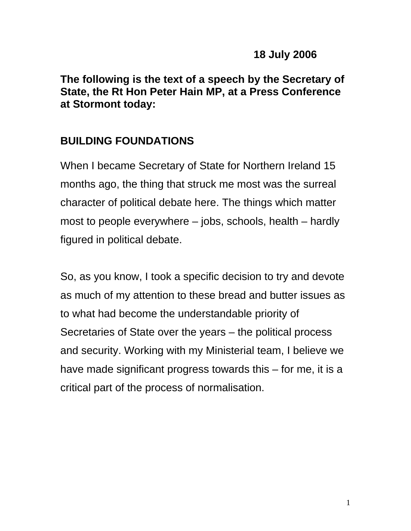**The following is the text of a speech by the Secretary of State, the Rt Hon Peter Hain MP, at a Press Conference at Stormont today:** 

## **BUILDING FOUNDATIONS**

When I became Secretary of State for Northern Ireland 15 months ago, the thing that struck me most was the surreal character of political debate here. The things which matter most to people everywhere – jobs, schools, health – hardly figured in political debate.

So, as you know, I took a specific decision to try and devote as much of my attention to these bread and butter issues as to what had become the understandable priority of Secretaries of State over the years – the political process and security. Working with my Ministerial team, I believe we have made significant progress towards this – for me, it is a critical part of the process of normalisation.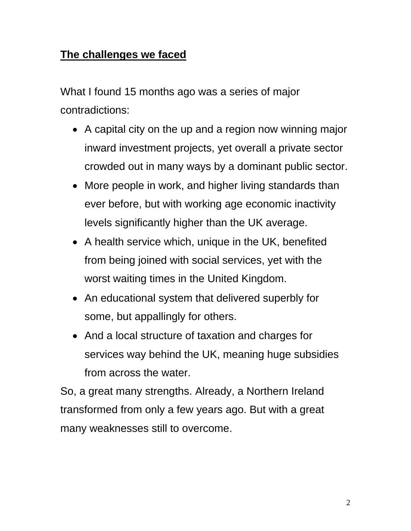## **The challenges we faced**

What I found 15 months ago was a series of major contradictions:

- A capital city on the up and a region now winning major inward investment projects, yet overall a private sector crowded out in many ways by a dominant public sector.
- More people in work, and higher living standards than ever before, but with working age economic inactivity levels significantly higher than the UK average.
- A health service which, unique in the UK, benefited from being joined with social services, yet with the worst waiting times in the United Kingdom.
- An educational system that delivered superbly for some, but appallingly for others.
- And a local structure of taxation and charges for services way behind the UK, meaning huge subsidies from across the water.

So, a great many strengths. Already, a Northern Ireland transformed from only a few years ago. But with a great many weaknesses still to overcome.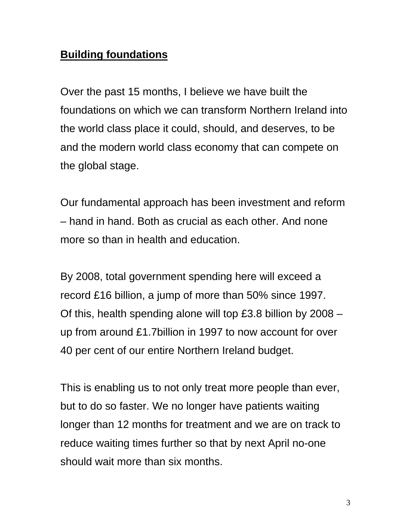## **Building foundations**

Over the past 15 months, I believe we have built the foundations on which we can transform Northern Ireland into the world class place it could, should, and deserves, to be and the modern world class economy that can compete on the global stage.

Our fundamental approach has been investment and reform – hand in hand. Both as crucial as each other. And none more so than in health and education.

By 2008, total government spending here will exceed a record £16 billion, a jump of more than 50% since 1997. Of this, health spending alone will top £3.8 billion by 2008 – up from around £1.7billion in 1997 to now account for over 40 per cent of our entire Northern Ireland budget.

This is enabling us to not only treat more people than ever, but to do so faster. We no longer have patients waiting longer than 12 months for treatment and we are on track to reduce waiting times further so that by next April no-one should wait more than six months.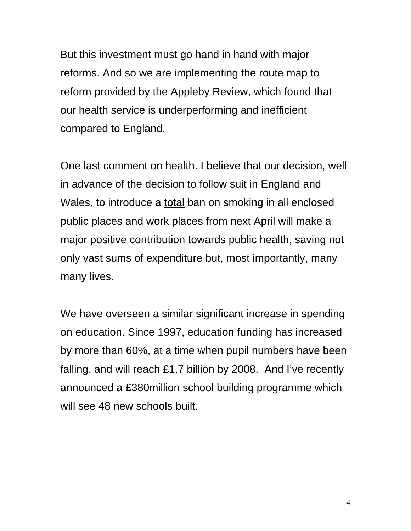But this investment must go hand in hand with major reforms. And so we are implementing the route map to reform provided by the Appleby Review, which found that our health service is underperforming and inefficient compared to England.

One last comment on health. I believe that our decision, well in advance of the decision to follow suit in England and Wales, to introduce a total ban on smoking in all enclosed public places and work places from next April will make a major positive contribution towards public health, saving not only vast sums of expenditure but, most importantly, many many lives.

We have overseen a similar significant increase in spending on education. Since 1997, education funding has increased by more than 60%, at a time when pupil numbers have been falling, and will reach £1.7 billion by 2008. And I've recently announced a £380million school building programme which will see 48 new schools built.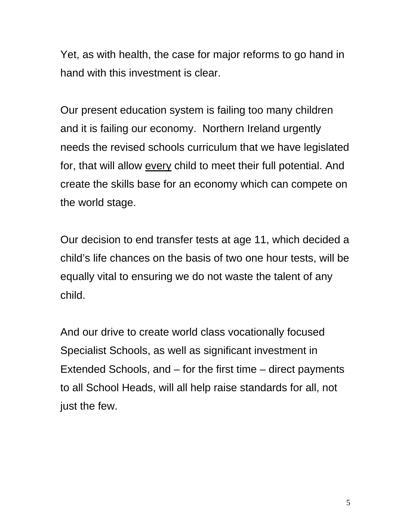Yet, as with health, the case for major reforms to go hand in hand with this investment is clear.

Our present education system is failing too many children and it is failing our economy. Northern Ireland urgently needs the revised schools curriculum that we have legislated for, that will allow every child to meet their full potential. And create the skills base for an economy which can compete on the world stage.

Our decision to end transfer tests at age 11, which decided a child's life chances on the basis of two one hour tests, will be equally vital to ensuring we do not waste the talent of any child.

And our drive to create world class vocationally focused Specialist Schools, as well as significant investment in Extended Schools, and – for the first time – direct payments to all School Heads, will all help raise standards for all, not just the few.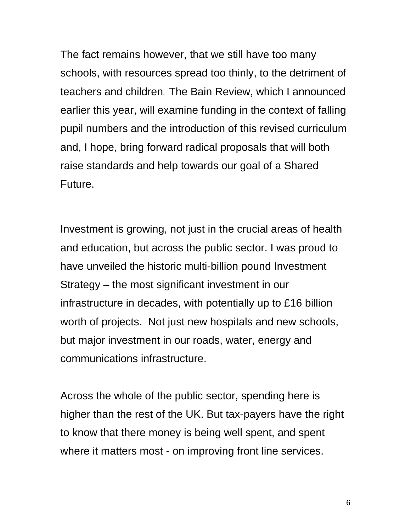The fact remains however, that we still have too many schools, with resources spread too thinly, to the detriment of teachers and children. The Bain Review, which I announced earlier this year, will examine funding in the context of falling pupil numbers and the introduction of this revised curriculum and, I hope, bring forward radical proposals that will both raise standards and help towards our goal of a Shared Future.

Investment is growing, not just in the crucial areas of health and education, but across the public sector. I was proud to have unveiled the historic multi-billion pound Investment Strategy – the most significant investment in our infrastructure in decades, with potentially up to £16 billion worth of projects. Not just new hospitals and new schools, but major investment in our roads, water, energy and communications infrastructure.

Across the whole of the public sector, spending here is higher than the rest of the UK. But tax-payers have the right to know that there money is being well spent, and spent where it matters most - on improving front line services.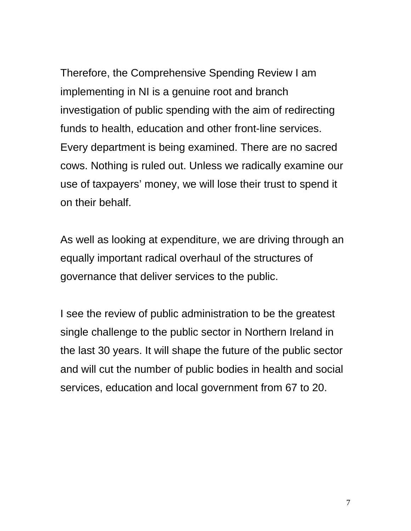Therefore, the Comprehensive Spending Review I am implementing in NI is a genuine root and branch investigation of public spending with the aim of redirecting funds to health, education and other front-line services. Every department is being examined. There are no sacred cows. Nothing is ruled out. Unless we radically examine our use of taxpayers' money, we will lose their trust to spend it on their behalf.

As well as looking at expenditure, we are driving through an equally important radical overhaul of the structures of governance that deliver services to the public.

I see the review of public administration to be the greatest single challenge to the public sector in Northern Ireland in the last 30 years. It will shape the future of the public sector and will cut the number of public bodies in health and social services, education and local government from 67 to 20.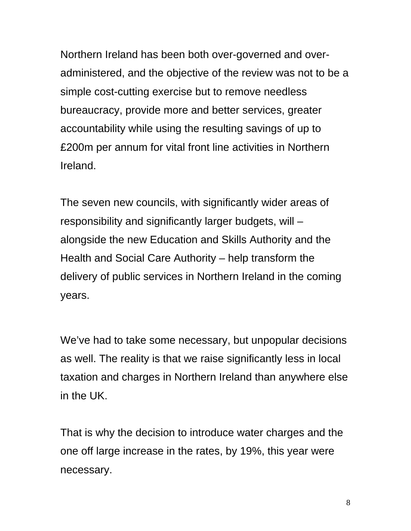Northern Ireland has been both over-governed and overadministered, and the objective of the review was not to be a simple cost-cutting exercise but to remove needless bureaucracy, provide more and better services, greater accountability while using the resulting savings of up to £200m per annum for vital front line activities in Northern Ireland.

The seven new councils, with significantly wider areas of responsibility and significantly larger budgets, will – alongside the new Education and Skills Authority and the Health and Social Care Authority – help transform the delivery of public services in Northern Ireland in the coming years.

We've had to take some necessary, but unpopular decisions as well. The reality is that we raise significantly less in local taxation and charges in Northern Ireland than anywhere else in the UK.

That is why the decision to introduce water charges and the one off large increase in the rates, by 19%, this year were necessary.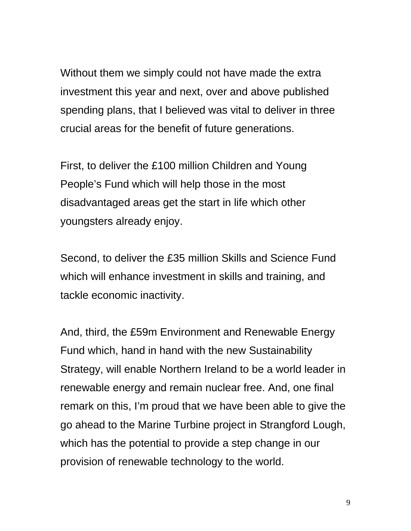Without them we simply could not have made the extra investment this year and next, over and above published spending plans, that I believed was vital to deliver in three crucial areas for the benefit of future generations.

First, to deliver the £100 million Children and Young People's Fund which will help those in the most disadvantaged areas get the start in life which other youngsters already enjoy.

Second, to deliver the £35 million Skills and Science Fund which will enhance investment in skills and training, and tackle economic inactivity.

And, third, the £59m Environment and Renewable Energy Fund which, hand in hand with the new Sustainability Strategy, will enable Northern Ireland to be a world leader in renewable energy and remain nuclear free. And, one final remark on this, I'm proud that we have been able to give the go ahead to the Marine Turbine project in Strangford Lough, which has the potential to provide a step change in our provision of renewable technology to the world.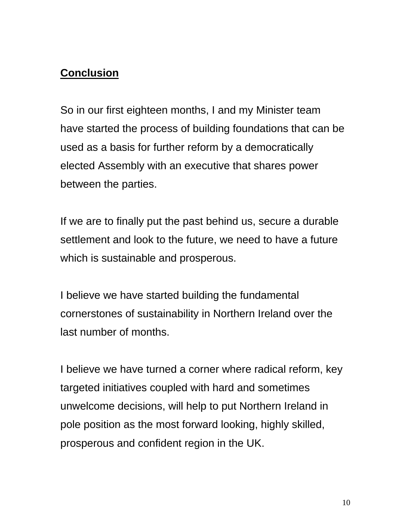## **Conclusion**

So in our first eighteen months, I and my Minister team have started the process of building foundations that can be used as a basis for further reform by a democratically elected Assembly with an executive that shares power between the parties.

If we are to finally put the past behind us, secure a durable settlement and look to the future, we need to have a future which is sustainable and prosperous.

I believe we have started building the fundamental cornerstones of sustainability in Northern Ireland over the last number of months.

I believe we have turned a corner where radical reform, key targeted initiatives coupled with hard and sometimes unwelcome decisions, will help to put Northern Ireland in pole position as the most forward looking, highly skilled, prosperous and confident region in the UK.